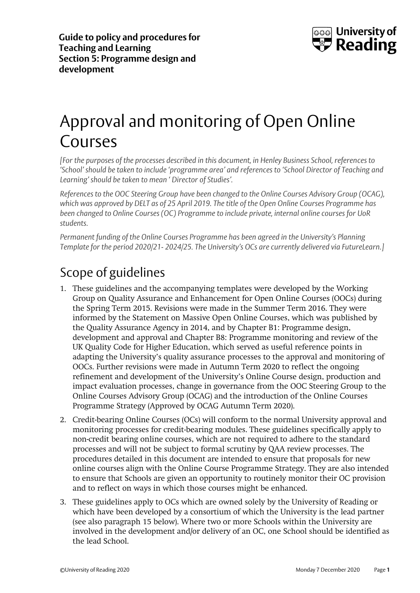

# Approval and monitoring of Open Online Courses

*[For the purposes of the processes described in this document, in Henley Business School, references to 'School' should be taken to include 'programme area' and references to 'School Director of Teaching and Learning' should be taken to mean ' Director of Studies'.*

*References to the OOC Steering Group have been changed to the Online Courses Advisory Group (OCAG), which was approved by DELT as of 25 April 2019. The title of the Open Online Courses Programme has been changed to Online Courses (OC) Programme to include private, internal online courses for UoR students.*

*Permanent funding of the Online Courses Programme has been agreed in the University's Planning Template for the period 2020/21- 2024/25. The University's OCs are currently delivered via FutureLearn.]*

# Scope of guidelines

- 1. These guidelines and the accompanying templates were developed by the Working Group on Quality Assurance and Enhancement for Open Online Courses (OOCs) during the Spring Term 2015. Revisions were made in the Summer Term 2016. They were informed by the Statement on Massive Open Online Courses, which was published by the Quality Assurance Agency in 2014, and by Chapter B1: Programme design, development and approval and Chapter B8: Programme monitoring and review of the UK Quality Code for Higher Education, which served as useful reference points in adapting the University's quality assurance processes to the approval and monitoring of OOCs. Further revisions were made in Autumn Term 2020 to reflect the ongoing refinement and development of the University's Online Course design, production and impact evaluation processes, change in governance from the OOC Steering Group to the Online Courses Advisory Group (OCAG) and the introduction of the Online Courses Programme Strategy (Approved by OCAG Autumn Term 2020).
- 2. Credit-bearing Online Courses (OCs) will conform to the normal University approval and monitoring processes for credit-bearing modules. These guidelines specifically apply to non-credit bearing online courses, which are not required to adhere to the standard processes and will not be subject to formal scrutiny by QAA review processes. The procedures detailed in this document are intended to ensure that proposals for new online courses align with the Online Course Programme Strategy. They are also intended to ensure that Schools are given an opportunity to routinely monitor their OC provision and to reflect on ways in which those courses might be enhanced.
- 3. These guidelines apply to OCs which are owned solely by the University of Reading or which have been developed by a consortium of which the University is the lead partner (see also paragraph 15 below). Where two or more Schools within the University are involved in the development and/or delivery of an OC, one School should be identified as the lead School.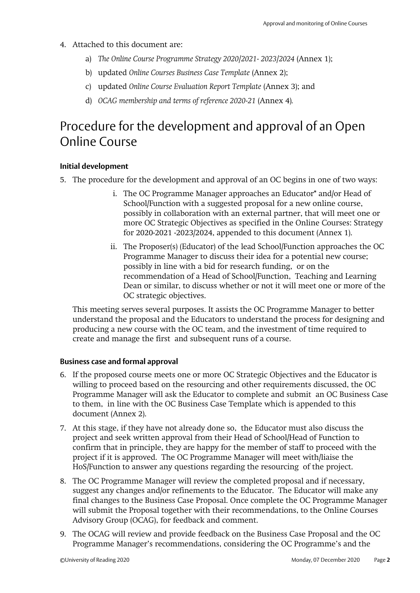- 4. Attached to this document are:
	- a) *The Online Course Programme Strategy 2020/2021- 2023/2024* (Annex 1);
	- b) updated *Online Courses Business Case Template* (Annex 2);
	- c) updated *Online Course Evaluation Report Template* (Annex 3); and
	- d) *OCAG membership and terms of reference 2020-21* (Annex 4)*.*

### Procedure for the development and approval of an Open Online Course

#### **Initial development**

- 5. The procedure for the development and approval of an OC begins in one of two ways:
	- i. The OC Programme Manager approaches an Educator\* and/or Head of School/Function with a suggested proposal for a new online course, possibly in collaboration with an external partner, that will meet one or more OC Strategic Objectives as specified in the Online Courses: Strategy for 2020-2021 -2023/2024, appended to this document (Annex 1).
	- ii. The Proposer(s) (Educator) of the lead School/Function approaches the OC Programme Manager to discuss their idea for a potential new course; possibly in line with a bid for research funding, or on the recommendation of a Head of School/Function, Teaching and Learning Dean or similar, to discuss whether or not it will meet one or more of the OC strategic objectives.

This meeting serves several purposes. It assists the OC Programme Manager to better understand the proposal and the Educators to understand the process for designing and producing a new course with the OC team, and the investment of time required to create and manage the first and subsequent runs of a course.

#### **Business case and formal approval**

- 6. If the proposed course meets one or more OC Strategic Objectives and the Educator is willing to proceed based on the resourcing and other requirements discussed, the OC Programme Manager will ask the Educator to complete and submit an OC Business Case to them, in line with the OC Business Case Template which is appended to this document (Annex 2).
- 7. At this stage, if they have not already done so, the Educator must also discuss the project and seek written approval from their Head of School/Head of Function to confirm that in principle, they are happy for the member of staff to proceed with the project if it is approved. The OC Programme Manager will meet with/liaise the HoS/Function to answer any questions regarding the resourcing of the project.
- 8. The OC Programme Manager will review the completed proposal and if necessary, suggest any changes and/or refinements to the Educator. The Educator will make any final changes to the Business Case Proposal. Once complete the OC Programme Manager will submit the Proposal together with their recommendations, to the Online Courses Advisory Group (OCAG), for feedback and comment.
- 9. The OCAG will review and provide feedback on the Business Case Proposal and the OC Programme Manager's recommendations, considering the OC Programme's and the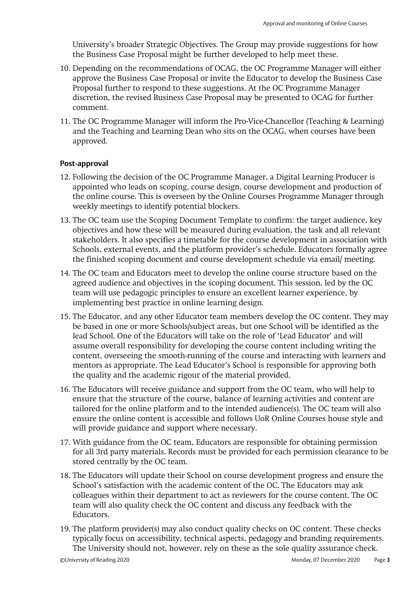University's broader Strategic Objectives. The Group may provide suggestions for how the Business Case Proposal might be further developed to help meet these.

- 10. Depending on the recommendations of OCAG, the OC Programme Manager will either approve the Business Case Proposal or invite the Educator to develop the Business Case Proposal further to respond to these suggestions. At the OC Programme Manager discretion, the revised Business Case Proposal may be presented to OCAG for further comment.
- 11. The OC Programme Manager will inform the Pro-Vice-Chancellor (Teaching & Learning) and the Teaching and Learning Dean who sits on the OCAG, when courses have been approved.

#### **Post-approval**

- 12. Following the decision of the OC Programme Manager, a Digital Learning Producer is appointed who leads on scoping, course design, course development and production of the online course. This is overseen by the Online Courses Programme Manager through weekly meetings to identify potential blockers.
- 13. The OC team use the Scoping Document Template to confirm: the target audience, key objectives and how these will be measured during evaluation, the task and all relevant stakeholders. It also specifies a timetable for the course development in association with Schools, external events, and the platform provider's schedule. Educators formally agree the finished scoping document and course development schedule via email/ meeting.
- 14. The OC team and Educators meet to develop the online course structure based on the agreed audience and objectives in the scoping document. This session, led by the OC team will use pedagogic principles to ensure an excellent learner experience, by implementing best practice in online learning design.
- 15. The Educator, and any other Educator team members develop the OC content. They may be based in one or more Schools/subject areas, but one School will be identified as the lead School. One of the Educators will take on the role of 'Lead Educator' and will assume overall responsibility for developing the course content including writing the content, overseeing the smooth-running of the course and interacting with learners and mentors as appropriate. The Lead Educator's School is responsible for approving both the quality and the academic rigour of the material provided.
- 16. The Educators will receive guidance and support from the OC team, who will help to ensure that the structure of the course, balance of learning activities and content are tailored for the online platform and to the intended audience(s). The OC team will also ensure the online content is accessible and follows UoR Online Courses house style and will provide guidance and support where necessary.
- 17. With guidance from the OC team, Educators are responsible for obtaining permission for all 3rd party materials. Records must be provided for each permission clearance to be stored centrally by the OC team.
- 18. The Educators will update their School on course development progress and ensure the School's satisfaction with the academic content of the OC. The Educators may ask colleagues within their department to act as reviewers for the course content. The OC team will also quality check the OC content and discuss any feedback with the Educators.
- 19. The platform provider(s) may also conduct quality checks on OC content. These checks typically focus on accessibility, technical aspects, pedagogy and branding requirements. The University should not, however, rely on these as the sole quality assurance check.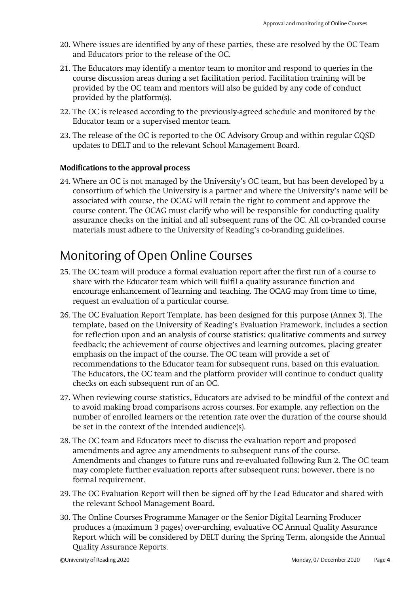- 20. Where issues are identified by any of these parties, these are resolved by the OC Team and Educators prior to the release of the OC.
- 21. The Educators may identify a mentor team to monitor and respond to queries in the course discussion areas during a set facilitation period. Facilitation training will be provided by the OC team and mentors will also be guided by any code of conduct provided by the platform(s).
- 22. The OC is released according to the previously-agreed schedule and monitored by the Educator team or a supervised mentor team.
- 23. The release of the OC is reported to the OC Advisory Group and within regular CQSD updates to DELT and to the relevant School Management Board.

#### **Modifications to the approval process**

24. Where an OC is not managed by the University's OC team, but has been developed by a consortium of which the University is a partner and where the University's name will be associated with course, the OCAG will retain the right to comment and approve the course content. The OCAG must clarify who will be responsible for conducting quality assurance checks on the initial and all subsequent runs of the OC. All co-branded course materials must adhere to the University of Reading's co-branding guidelines.

### Monitoring of Open Online Courses

- 25. The OC team will produce a formal evaluation report after the first run of a course to share with the Educator team which will fulfil a quality assurance function and encourage enhancement of learning and teaching. The OCAG may from time to time, request an evaluation of a particular course.
- 26. The OC Evaluation Report Template, has been designed for this purpose (Annex 3). The template, based on the University of Reading's Evaluation Framework, includes a section for reflection upon and an analysis of course statistics; qualitative comments and survey feedback; the achievement of course objectives and learning outcomes, placing greater emphasis on the impact of the course. The OC team will provide a set of recommendations to the Educator team for subsequent runs, based on this evaluation. The Educators, the OC team and the platform provider will continue to conduct quality checks on each subsequent run of an OC.
- 27. When reviewing course statistics, Educators are advised to be mindful of the context and to avoid making broad comparisons across courses. For example, any reflection on the number of enrolled learners or the retention rate over the duration of the course should be set in the context of the intended audience(s).
- 28. The OC team and Educators meet to discuss the evaluation report and proposed amendments and agree any amendments to subsequent runs of the course. Amendments and changes to future runs and re-evaluated following Run 2. The OC team may complete further evaluation reports after subsequent runs; however, there is no formal requirement.
- 29. The OC Evaluation Report will then be signed off by the Lead Educator and shared with the relevant School Management Board.
- 30. The Online Courses Programme Manager or the Senior Digital Learning Producer produces a (maximum 3 pages) over-arching, evaluative OC Annual Quality Assurance Report which will be considered by DELT during the Spring Term, alongside the Annual Quality Assurance Reports.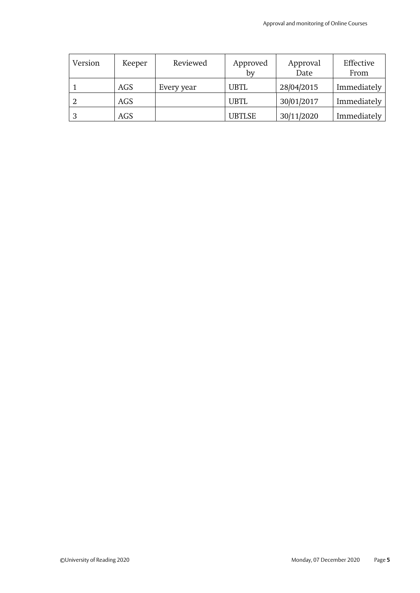| Version | Keeper | Reviewed   | Approved<br>by | Approval<br>Date | Effective<br>From |
|---------|--------|------------|----------------|------------------|-------------------|
|         | AGS    | Every year | <b>UBTL</b>    | 28/04/2015       | Immediately       |
|         | AGS    |            | <b>UBTL</b>    | 30/01/2017       | Immediately       |
|         | AGS    |            | <b>UBTLSE</b>  | 30/11/2020       | Immediately       |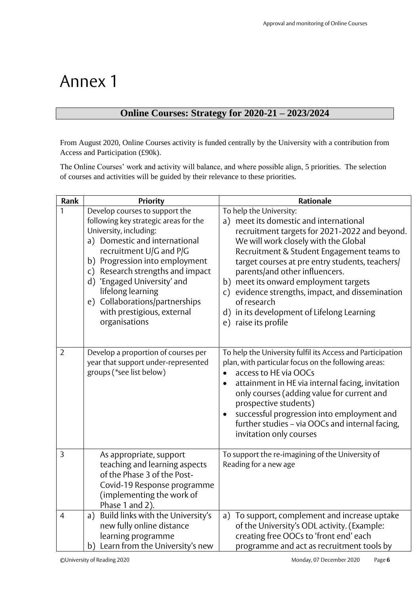# Annex 1

#### **Online Courses: Strategy for 2020-21 – 2023/2024**

From August 2020, Online Courses activity is funded centrally by the University with a contribution from Access and Participation (£90k).

The Online Courses' work and activity will balance, and where possible align, 5 priorities. The selection of courses and activities will be guided by their relevance to these priorities.

| Rank           | <b>Priority</b>                                                                                                                                                                                                                                                                                                                                                          | <b>Rationale</b>                                                                                                                                                                                                                                                                                                                                                                                                                                                                               |
|----------------|--------------------------------------------------------------------------------------------------------------------------------------------------------------------------------------------------------------------------------------------------------------------------------------------------------------------------------------------------------------------------|------------------------------------------------------------------------------------------------------------------------------------------------------------------------------------------------------------------------------------------------------------------------------------------------------------------------------------------------------------------------------------------------------------------------------------------------------------------------------------------------|
| $\mathbf{1}$   | Develop courses to support the<br>following key strategic areas for the<br>University, including:<br>a) Domestic and international<br>recruitment U/G and P/G<br>b) Progression into employment<br>c) Research strengths and impact<br>d) 'Engaged University' and<br>lifelong learning<br>e) Collaborations/partnerships<br>with prestigious, external<br>organisations | To help the University:<br>a) meet its domestic and international<br>recruitment targets for 2021-2022 and beyond.<br>We will work closely with the Global<br>Recruitment & Student Engagement teams to<br>target courses at pre entry students, teachers/<br>parents/and other influencers.<br>meet its onward employment targets<br>b)<br>evidence strengths, impact, and dissemination<br>$\mathsf{C}$<br>of research<br>d) in its development of Lifelong Learning<br>e) raise its profile |
| $\overline{2}$ | Develop a proportion of courses per<br>year that support under-represented<br>groups (*see list below)                                                                                                                                                                                                                                                                   | To help the University fulfil its Access and Participation<br>plan, with particular focus on the following areas:<br>access to HE via OOCs<br>$\bullet$<br>attainment in HE via internal facing, invitation<br>$\bullet$<br>only courses (adding value for current and<br>prospective students)<br>successful progression into employment and<br>further studies - via OOCs and internal facing,<br>invitation only courses                                                                    |
| 3              | As appropriate, support<br>teaching and learning aspects<br>of the Phase 3 of the Post-<br>Covid-19 Response programme<br>(implementing the work of<br>Phase 1 and 2).                                                                                                                                                                                                   | To support the re-imagining of the University of<br>Reading for a new age                                                                                                                                                                                                                                                                                                                                                                                                                      |
| $\overline{4}$ | a) Build links with the University's<br>new fully online distance<br>learning programme<br>b) Learn from the University's new                                                                                                                                                                                                                                            | To support, complement and increase uptake<br>$\mathsf{a}$ )<br>of the University's ODL activity. (Example:<br>creating free OOCs to 'front end' each<br>programme and act as recruitment tools by                                                                                                                                                                                                                                                                                             |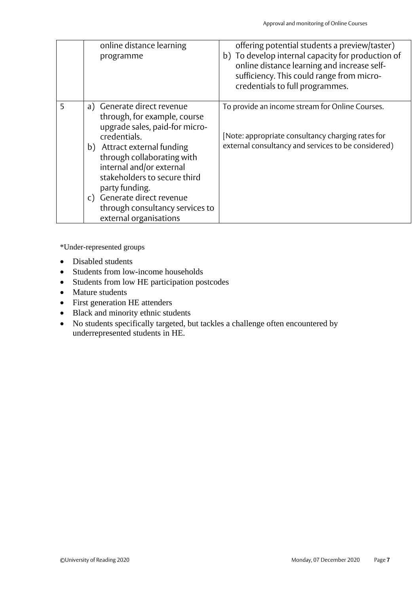|   | online distance learning<br>programme                                                                                                                                                                                                                                                                                                              | offering potential students a preview/taster)<br>b) To develop internal capacity for production of<br>online distance learning and increase self-<br>sufficiency. This could range from micro-<br>credentials to full programmes. |
|---|----------------------------------------------------------------------------------------------------------------------------------------------------------------------------------------------------------------------------------------------------------------------------------------------------------------------------------------------------|-----------------------------------------------------------------------------------------------------------------------------------------------------------------------------------------------------------------------------------|
| 5 | a) Generate direct revenue<br>through, for example, course<br>upgrade sales, paid-for micro-<br>credentials.<br>b) Attract external funding<br>through collaborating with<br>internal and/or external<br>stakeholders to secure third<br>party funding.<br>c) Generate direct revenue<br>through consultancy services to<br>external organisations | To provide an income stream for Online Courses.<br>[Note: appropriate consultancy charging rates for<br>external consultancy and services to be considered)                                                                       |

\*Under-represented groups

- Disabled students
- Students from low-income households
- Students from low HE participation postcodes
- Mature students
- First generation HE attenders
- Black and minority ethnic students
- No students specifically targeted, but tackles a challenge often encountered by underrepresented students in HE.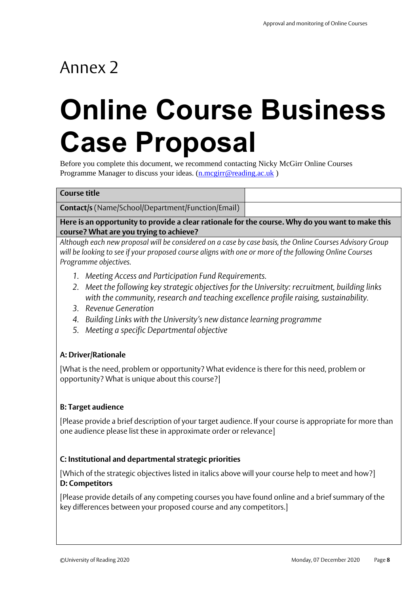# Annex 2

# **Online Course Business Case Proposal**

Before you complete this document, we recommend contacting Nicky McGirr Online Courses Programme Manager to discuss your ideas. [\(n.mcgirr@reading.ac.uk](mailto:n.mcgirr@reading.ac.uk))

#### **Course title**

**Contact/s** (Name/School/Department/Function/Email)

**Here is an opportunity to provide a clear rationale for the course. Why do you want to make this course? What are you trying to achieve?** 

*Although each new proposal will be considered on a case by case basis, the Online Courses Advisory Group will be looking to see if your proposed course aligns with one or more of the following Online Courses Programme objectives.*

- *1. Meeting Access and Participation Fund Requirements.*
- *2. Meet the following key strategic objectives for the University: recruitment, building links with the community, research and teaching excellence profile raising, sustainability.*
- *3. Revenue Generation*
- *4. Building Links with the University's new distance learning programme*
- *5. Meeting a specific Departmental objective*

#### **A: Driver/Rationale**

[What is the need, problem or opportunity? What evidence is there for this need, problem or opportunity? What is unique about this course?]

#### **B: Target audience**

[Please provide a brief description of your target audience. If your course is appropriate for more than one audience please list these in approximate order or relevance]

#### **C: Institutional and departmental strategic priorities**

[Which of the strategic objectives listed in italics above will your course help to meet and how?] **D: Competitors**

[Please provide details of any competing courses you have found online and a brief summary of the key differences between your proposed course and any competitors.]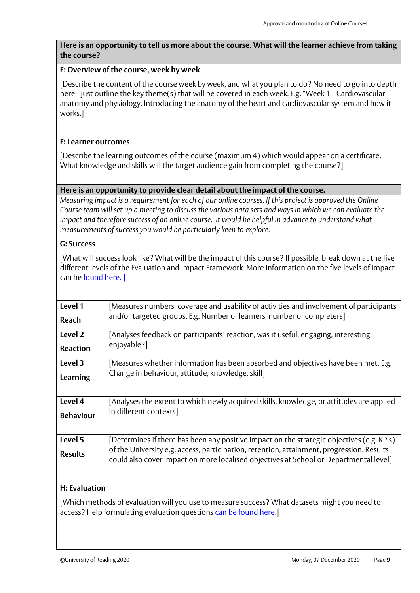#### **Here is an opportunity to tell us more about the course. What will the learner achieve from taking the course?**

#### **E: Overview of the course, week by week**

[Describe the content of the course week by week, and what you plan to do? No need to go into depth here - just outline the key theme(s) that will be covered in each week. E.g. "Week 1 - Cardiovascular anatomy and physiology. Introducing the anatomy of the heart and cardiovascular system and how it works.]

#### **F: Learner outcomes**

[Describe the learning outcomes of the course (maximum 4) which would appear on a certificate. What knowledge and skills will the target audience gain from completing the course?]

#### **Here is an opportunity to provide clear detail about the impact of the course.**

*Measuring impact is a requirement for each of our online courses. If this project is approved the Online Course team will set up a meeting to discuss the various data sets and ways in which we can evaluate the impact and therefore success of an online course. It would be helpful in advance to understand what measurements of success you would be particularly keen to explore.*

#### **G: Success**

[What will success look like? What will be the impact of this course? If possible, break down at the five different levels of the Evaluation and Impact Framework. More information on the five levels of impact can be **found here.** ]

| Level 1                   | Measures numbers, coverage and usability of activities and involvement of participants                                                                                                                                                                                          |
|---------------------------|---------------------------------------------------------------------------------------------------------------------------------------------------------------------------------------------------------------------------------------------------------------------------------|
| <b>Reach</b>              | and/or targeted groups. E.g. Number of learners, number of completers]                                                                                                                                                                                                          |
| Level 2                   | [Analyses feedback on participants' reaction, was it useful, engaging, interesting,                                                                                                                                                                                             |
| <b>Reaction</b>           | enjoyable?]                                                                                                                                                                                                                                                                     |
| Level 3                   | [Measures whether information has been absorbed and objectives have been met. E.g.                                                                                                                                                                                              |
| <b>Learning</b>           | Change in behaviour, attitude, knowledge, skill                                                                                                                                                                                                                                 |
| Level 4                   | [Analyses the extent to which newly acquired skills, knowledge, or attitudes are applied                                                                                                                                                                                        |
| <b>Behaviour</b>          | in different contexts]                                                                                                                                                                                                                                                          |
| Level 5<br><b>Results</b> | [Determines if there has been any positive impact on the strategic objectives (e.g. KPIs)<br>of the University e.g. access, participation, retention, attainment, progression. Results<br>could also cover impact on more localised objectives at School or Departmental level] |
| 11.5333                   |                                                                                                                                                                                                                                                                                 |

#### **H: Evaluation**

[Which methods of evaluation will you use to measure success? What datasets might you need to access? Help formulating evaluation questions [can be found here.](https://sites.reading.ac.uk/wp-content/uploads/sites/42/2019/10/Five-levels-of-Impact-Sample-questions.pptx)]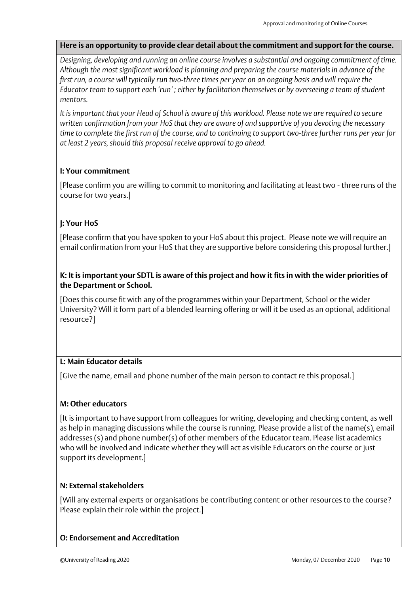#### **Here is an opportunity to provide clear detail about the commitment and support for the course.**

*Designing, developing and running an online course involves a substantial and ongoing commitment of time. Although the most significant workload is planning and preparing the course materials in advance of the first run, a course will typically run two-three times per year on an ongoing basis and will require the Educator team to support each 'run' ; either by facilitation themselves or by overseeing a team of student mentors.* 

*It is important that your Head of School is aware of this workload. Please note we are required to secure written confirmation from your HoS that they are aware of and supportive of you devoting the necessary time to complete the first run of the course, and to continuing to support two-three further runs per year for at least 2 years, should this proposal receive approval to go ahead.*

#### **I: Your commitment**

[Please confirm you are willing to commit to monitoring and facilitating at least two - three runs of the course for two years.]

#### **J: Your HoS**

[Please confirm that you have spoken to your HoS about this project. Please note we will require an email confirmation from your HoS that they are supportive before considering this proposal further.]

#### **K: It is important your SDTL is aware of this project and how it fits in with the wider priorities of the Department or School.**

[Does this course fit with any of the programmes within your Department, School or the wider University? Will it form part of a blended learning offering or will it be used as an optional, additional resource?]

#### **L: Main Educator details**

[Give the name, email and phone number of the main person to contact re this proposal.]

#### **M: Other educators**

[It is important to have support from colleagues for writing, developing and checking content, as well as help in managing discussions while the course is running. Please provide a list of the name(s), email addresses (s) and phone number(s) of other members of the Educator team. Please list academics who will be involved and indicate whether they will act as visible Educators on the course or just support its development.]

#### **N: External stakeholders**

[Will any external experts or organisations be contributing content or other resources to the course? Please explain their role within the project.]

#### **O: Endorsement and Accreditation**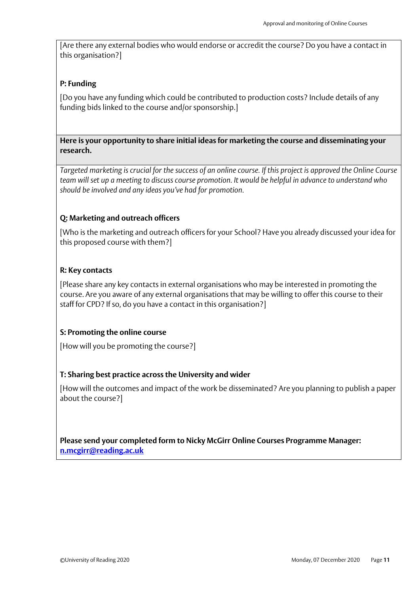[Are there any external bodies who would endorse or accredit the course? Do you have a contact in this organisation?]

#### **P: Funding**

[Do you have any funding which could be contributed to production costs? Include details of any funding bids linked to the course and/or sponsorship.]

**Here is your opportunity to share initial ideas for marketing the course and disseminating your research.** 

*Targeted marketing is crucial for the success of an online course. If this project is approved the Online Course team will set up a meeting to discuss course promotion. It would be helpful in advance to understand who should be involved and any ideas you've had for promotion.*

#### **Q: Marketing and outreach officers**

[Who is the marketing and outreach officers for your School? Have you already discussed your idea for this proposed course with them?]

#### **R: Key contacts**

[Please share any key contacts in external organisations who may be interested in promoting the course. Are you aware of any external organisations that may be willing to offer this course to their staff for CPD? If so, do you have a contact in this organisation?]

#### **S: Promoting the online course**

[How will you be promoting the course?]

#### **T: Sharing best practice across the University and wider**

[How will the outcomes and impact of the work be disseminated? Are you planning to publish a paper about the course?]

**Please send your completed form to Nicky McGirr Online Courses Programme Manager: [n.mcgirr@reading.ac.uk](mailto:n.mcgirr@reading.ac.uk)**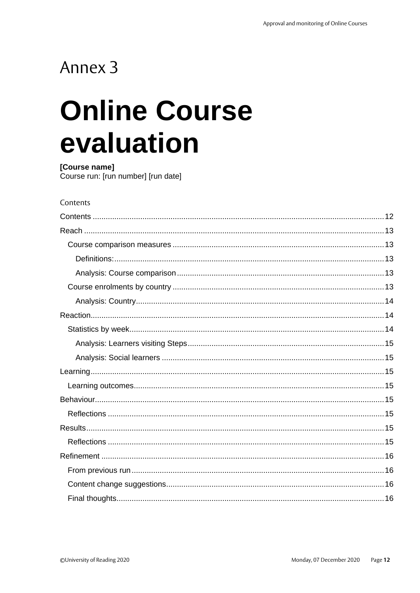# Annex 3

# **Online Course** evaluation

[Course name] Course run: [run number] [run date]

#### <span id="page-11-0"></span>Contents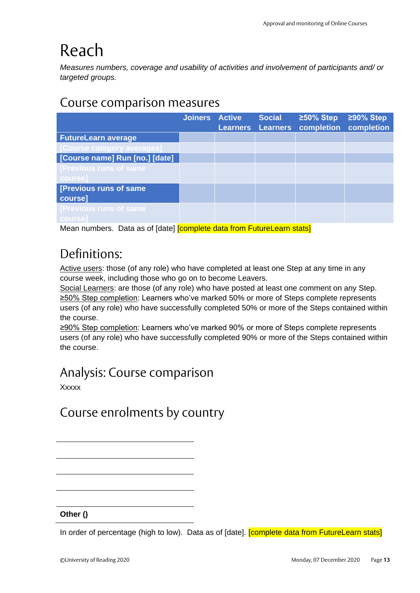# <span id="page-12-0"></span>Reach

*Measures numbers, coverage and usability of activities and involvement of participants and/ or targeted groups.*

### <span id="page-12-1"></span>Course comparison measures

|                                                                      | <b>Joiners Active</b> | <b>Social</b><br><b>Learners Learners</b> | $\geq 50\%$ Step | $\geq$ 90% Step<br>completion completion |
|----------------------------------------------------------------------|-----------------------|-------------------------------------------|------------------|------------------------------------------|
| <b>FutureLearn average</b>                                           |                       |                                           |                  |                                          |
| [Course category averages]                                           |                       |                                           |                  |                                          |
| [Course name] Run [no.] [date]                                       |                       |                                           |                  |                                          |
| [Previous runs of same]                                              |                       |                                           |                  |                                          |
| course]                                                              |                       |                                           |                  |                                          |
| [Previous runs of same]<br>course]                                   |                       |                                           |                  |                                          |
| [Previous runs of same]                                              |                       |                                           |                  |                                          |
| course]                                                              |                       |                                           |                  |                                          |
| Moon numbers Data as of Idate) Complete data from Eutural earn state |                       |                                           |                  |                                          |

<span id="page-12-2"></span>Mean numbers. Data as of [date] **[complete data from FutureLearn stats**]

## Definitions:

Active users: those (of any role) who have completed at least one Step at any time in any course week, including those who go on to become Leavers.

Social Learners: are those (of any role) who have posted at least one comment on any Step. ≥50% Step completion: Learners who've marked 50% or more of Steps complete represents users (of any role) who have successfully completed 50% or more of the Steps contained within the course.

≥90% Step completion: Learners who've marked 90% or more of Steps complete represents users (of any role) who have successfully completed 90% or more of the Steps contained within the course.

### <span id="page-12-3"></span>Analysis: Course comparison

<span id="page-12-4"></span>**Xxxxx** 

### Course enrolments by country

**Other ()**

In order of percentage (high to low). Data as of [date]. **[complete data from FutureLearn stats]**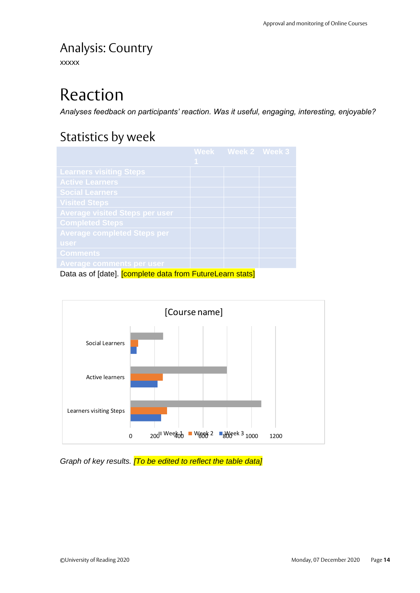## <span id="page-13-0"></span>Analysis: Country

<span id="page-13-1"></span>xxxxx

# Reaction

<span id="page-13-2"></span>*Analyses feedback on participants' reaction. Was it useful, engaging, interesting, enjoyable?*

### Statistics by week

|                                                                  |   | Week Week 2 Week 3 |  |
|------------------------------------------------------------------|---|--------------------|--|
|                                                                  | 1 |                    |  |
| <b>Learners visiting Steps</b>                                   |   |                    |  |
| <b>Active Learners</b>                                           |   |                    |  |
| <b>Social Learners</b>                                           |   |                    |  |
| <b>Visited Steps</b>                                             |   |                    |  |
| <b>Average visited Steps per user</b>                            |   |                    |  |
| <b>Completed Steps</b>                                           |   |                    |  |
| <b>Average completed Steps per</b>                               |   |                    |  |
| user                                                             |   |                    |  |
| <b>Comments</b>                                                  |   |                    |  |
| <b>Average comments per user</b>                                 |   |                    |  |
| Data as of [date]. <b>[complete data from FutureLearn stats]</b> |   |                    |  |



*Graph of key results. [To be edited to reflect the table data]*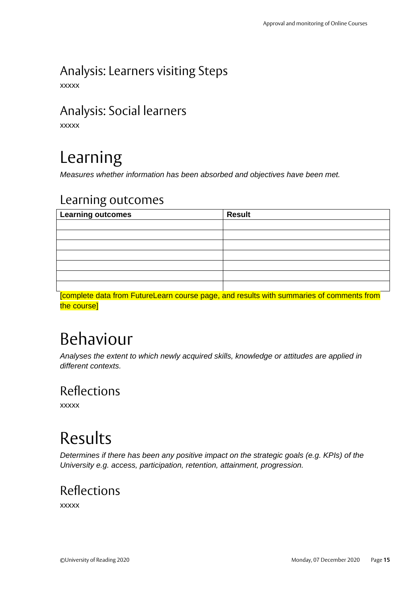# <span id="page-14-0"></span>Analysis: Learners visiting Steps

<span id="page-14-1"></span>xxxxx

### Analysis: Social learners

<span id="page-14-2"></span>xxxxx

# Learning

<span id="page-14-3"></span>*Measures whether information has been absorbed and objectives have been met.*

### Learning outcomes

| Learning outcomes | <b>Result</b> |
|-------------------|---------------|
|                   |               |
|                   |               |
|                   |               |
|                   |               |
|                   |               |
|                   |               |
|                   |               |

[complete data from FutureLearn course page, and results with summaries of comments from the course]

# <span id="page-14-4"></span>Behaviour

*Analyses the extent to which newly acquired skills, knowledge or attitudes are applied in different contexts.*

### <span id="page-14-5"></span>Reflections

xxxxx

# <span id="page-14-6"></span>Results

*Determines if there has been any positive impact on the strategic goals (e.g. KPIs) of the University e.g. access, participation, retention, attainment, progression.*

### <span id="page-14-7"></span>Reflections

xxxxx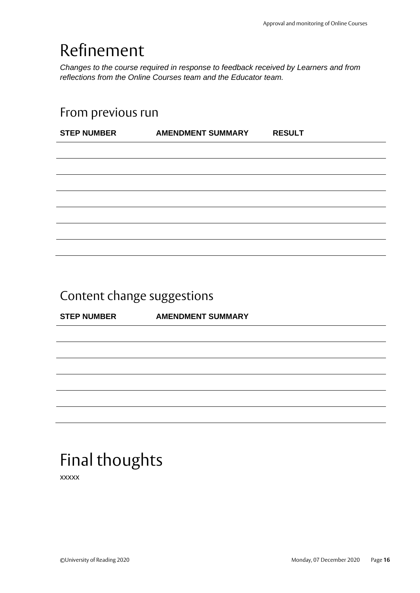# <span id="page-15-0"></span>Refinement

*Changes to the course required in response to feedback received by Learners and from reflections from the Online Courses team and the Educator team.*

### <span id="page-15-1"></span>From previous run

| <b>STEP NUMBER</b> | <b>AMENDMENT SUMMARY</b> | <b>RESULT</b> |
|--------------------|--------------------------|---------------|
|                    |                          |               |
|                    |                          |               |
|                    |                          |               |
|                    |                          |               |
|                    |                          |               |
|                    |                          |               |
|                    |                          |               |
|                    |                          |               |

## <span id="page-15-2"></span>Content change suggestions

**STEP NUMBER AMENDMENT SUMMARY**

# <span id="page-15-3"></span>Final thoughts

xxxxx